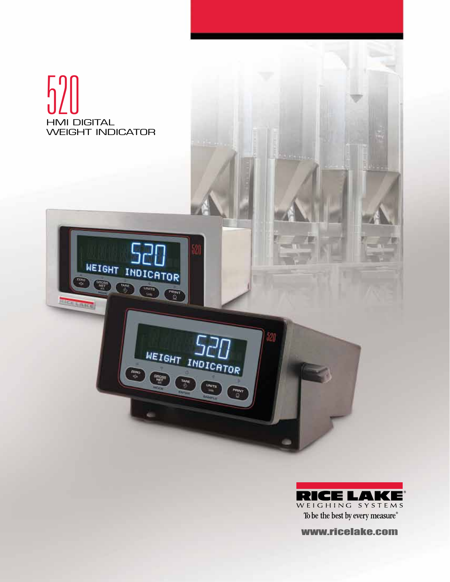



www.ricelake.com